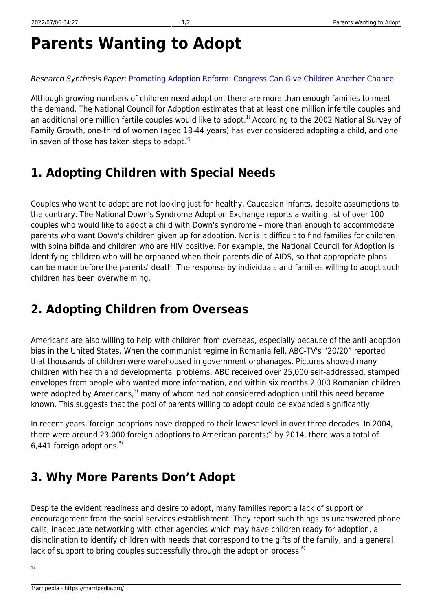# **Parents Wanting to Adopt**

#### Research Synthesis Paper: [Promoting Adoption Reform: Congress Can Give Children Another Chance](http://www.heritage.org/research/reports/1996/05/bg1080nbsp-promoting-adoption-reform)

Although growing numbers of children need adoption, there are more than enough families to meet the demand. The National Council for Adoption estimates that at least one million infertile couples and an additional one million fertile couples would like to adopt.<sup>[1\)](#page--1-0)</sup> According to the 2002 National Survey of Family Growth, one-third of women (aged 18-44 years) has ever considered adopting a child, and one in seven of those has taken steps to adopt. $2$ 

#### **1. Adopting Children with Special Needs**

Couples who want to adopt are not looking just for healthy, Caucasian infants, despite assumptions to the contrary. The National Down's Syndrome Adoption Exchange reports a waiting list of over 100 couples who would like to adopt a child with Down's syndrome – more than enough to accommodate parents who want Down's children given up for adoption. Nor is it difficult to find families for children with spina bifida and children who are HIV positive. For example, the National Council for Adoption is identifying children who will be orphaned when their parents die of AIDS, so that appropriate plans can be made before the parents' death. The response by individuals and families willing to adopt such children has been overwhelming.

## **2. Adopting Children from Overseas**

Americans are also willing to help with children from overseas, especially because of the anti-adoption bias in the United States. When the communist regime in Romania fell, ABC-TV's "20/20" reported that thousands of children were warehoused in government orphanages. Pictures showed many children with health and developmental problems. ABC received over 25,000 self-addressed, stamped envelopes from people who wanted more information, and within six months 2,000 Romanian children were adopted by Americans,<sup>[3\)](#page--1-0)</sup> many of whom had not considered adoption until this need became known. This suggests that the pool of parents willing to adopt could be expanded significantly.

In recent years, foreign adoptions have dropped to their lowest level in over three decades. In 2004, there were around 23,000 foreign adoptions to American parents;<sup>[4\)](#page--1-0)</sup> by 2014, there was a total of 6,441 foreign adoptions. $^{5)}$  $^{5)}$  $^{5)}$ 

### **3. Why More Parents Don't Adopt**

Despite the evident readiness and desire to adopt, many families report a lack of support or encouragement from the social services establishment. They report such things as unanswered phone calls, inadequate networking with other agencies which may have children ready for adoption, a disinclination to identify children with needs that correspond to the gifts of the family, and a general lack of support to bring couples successfully through the adoption process.<sup>[6\)](#page--1-0)</sup>